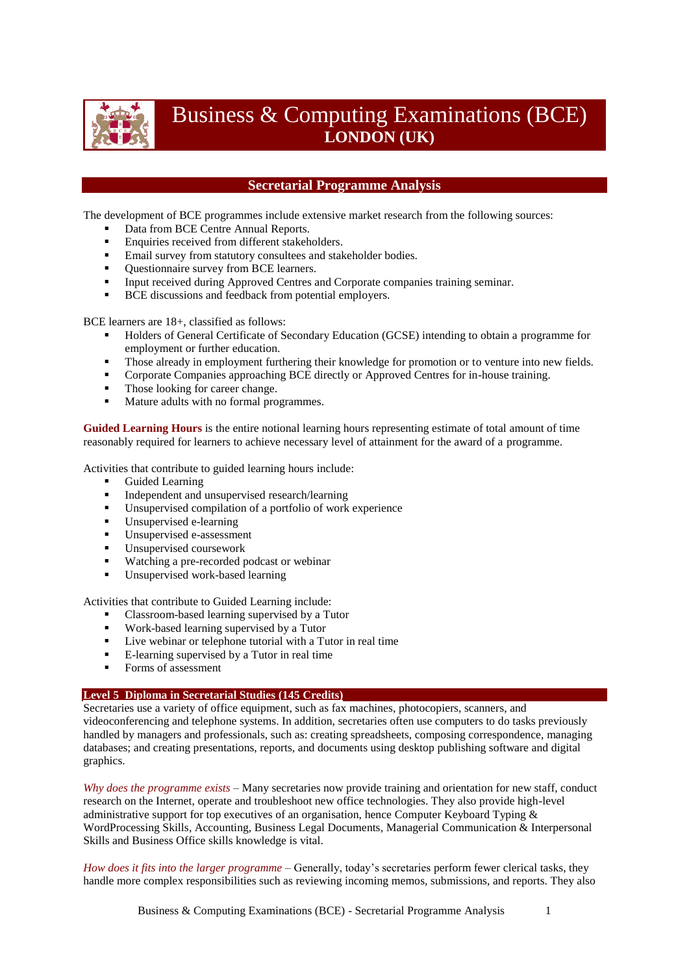

# Business & Computing Examinations (BCE) **LONDON (UK)**

## **Secretarial Programme Analysis**

The development of BCE programmes include extensive market research from the following sources:

- Data from BCE Centre Annual Reports.
- **Enquiries received from different stakeholders.**
- **Email survey from statutory consultees and stakeholder bodies.**
- Questionnaire survey from BCE learners.
- Input received during Approved Centres and Corporate companies training seminar.
- **BCE** discussions and feedback from potential employers.

BCE learners are 18+, classified as follows:

- Holders of General Certificate of Secondary Education (GCSE) intending to obtain a programme for employment or further education.
- Those already in employment furthering their knowledge for promotion or to venture into new fields.
- Corporate Companies approaching BCE directly or Approved Centres for in-house training.
- Those looking for career change.
- Mature adults with no formal programmes.

**Guided Learning Hours** is the entire notional learning hours representing estimate of total amount of time reasonably required for learners to achieve necessary level of attainment for the award of a programme.

Activities that contribute to guided learning hours include:

- Guided Learning
- Independent and unsupervised research/learning
- Unsupervised compilation of a portfolio of work experience
- Unsupervised e-learning
- **Unsupervised e-assessment**
- Unsupervised coursework
- Watching a pre-recorded podcast or webinar
- Unsupervised work-based learning

Activities that contribute to Guided Learning include:

- Classroom-based learning supervised by a Tutor
- Work-based learning supervised by a Tutor
- Live webinar or telephone tutorial with a Tutor in real time
- E-learning supervised by a Tutor in real time
- Forms of assessment

#### **Level 5 Diploma in Secretarial Studies (145 Credits)**

Secretaries use a variety of office equipment, such as fax machines, photocopiers, scanners, and videoconferencing and telephone systems. In addition, secretaries often use computers to do tasks previously handled by managers and professionals, such as: creating spreadsheets, composing correspondence, managing databases; and creating presentations, reports, and documents using desktop publishing software and digital graphics.

*Why does the programme exists* – Many secretaries now provide training and orientation for new staff, conduct research on the Internet, operate and troubleshoot new office technologies. They also provide high-level administrative support for top executives of an organisation, hence Computer Keyboard Typing & WordProcessing Skills, Accounting, Business Legal Documents, Managerial Communication & Interpersonal Skills and Business Office skills knowledge is vital.

*How does it fits into the larger programme* – Generally, today's secretaries perform fewer clerical tasks, they handle more complex responsibilities such as reviewing incoming memos, submissions, and reports. They also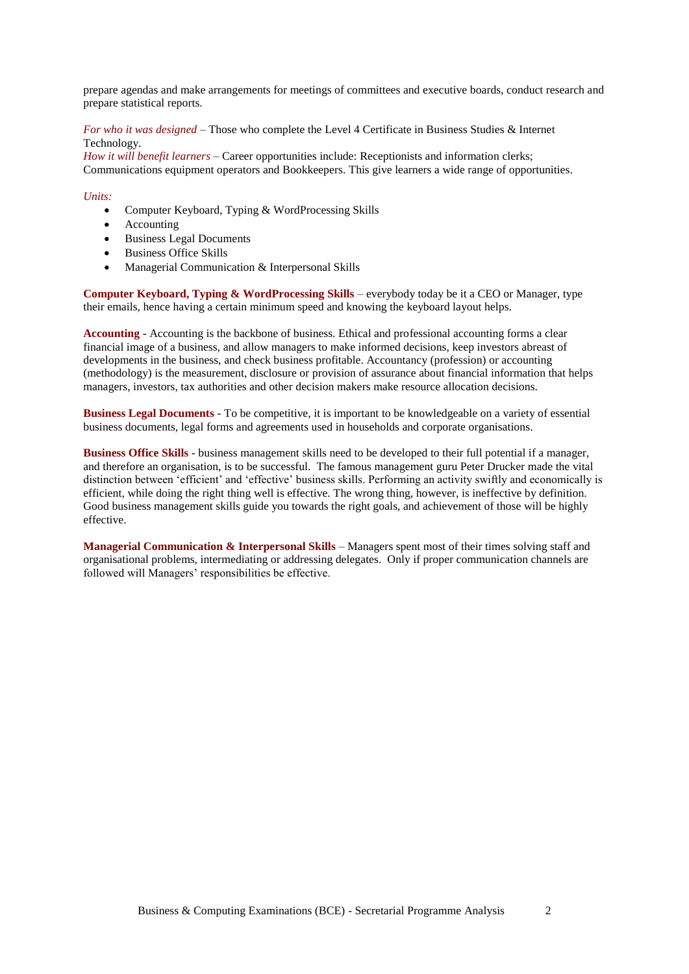prepare agendas and make arrangements for meetings of committees and executive boards, conduct research and prepare statistical reports.

*For who it was designed* – Those who complete the Level 4 Certificate in Business Studies & Internet Technology.

*How it will benefit learners* – Career opportunities include: Receptionists and information clerks; Communications equipment operators and Bookkeepers. This give learners a wide range of opportunities.

#### *Units:*

- Computer Keyboard, Typing & WordProcessing Skills
- Accounting
- Business Legal Documents
- Business Office Skills
- Managerial Communication & Interpersonal Skills

**Computer Keyboard, Typing & WordProcessing Skills** – everybody today be it a CEO or Manager, type their emails, hence having a certain minimum speed and knowing the keyboard layout helps.

**Accounting** - Accounting is the backbone of business. Ethical and professional accounting forms a clear financial image of a business, and allow managers to make informed decisions, keep investors abreast of developments in the business, and check business profitable. Accountancy (profession) or accounting (methodology) is the measurement, disclosure or provision of assurance about financial information that helps managers, investors, tax authorities and other decision makers make resource allocation decisions.

**Business Legal Documents** - To be competitive, it is important to be knowledgeable on a variety of essential business documents, legal forms and agreements used in households and corporate organisations.

**Business Office Skills** - business management skills need to be developed to their full potential if a manager, and therefore an organisation, is to be successful. The famous management guru Peter Drucker made the vital distinction between 'efficient' and 'effective' business skills. Performing an activity swiftly and economically is efficient, while doing the right thing well is effective. The wrong thing, however, is ineffective by definition. Good business management skills guide you towards the right goals, and achievement of those will be highly effective.

**Managerial Communication & Interpersonal Skills** – Managers spent most of their times solving staff and organisational problems, intermediating or addressing delegates. Only if proper communication channels are followed will Managers' responsibilities be effective.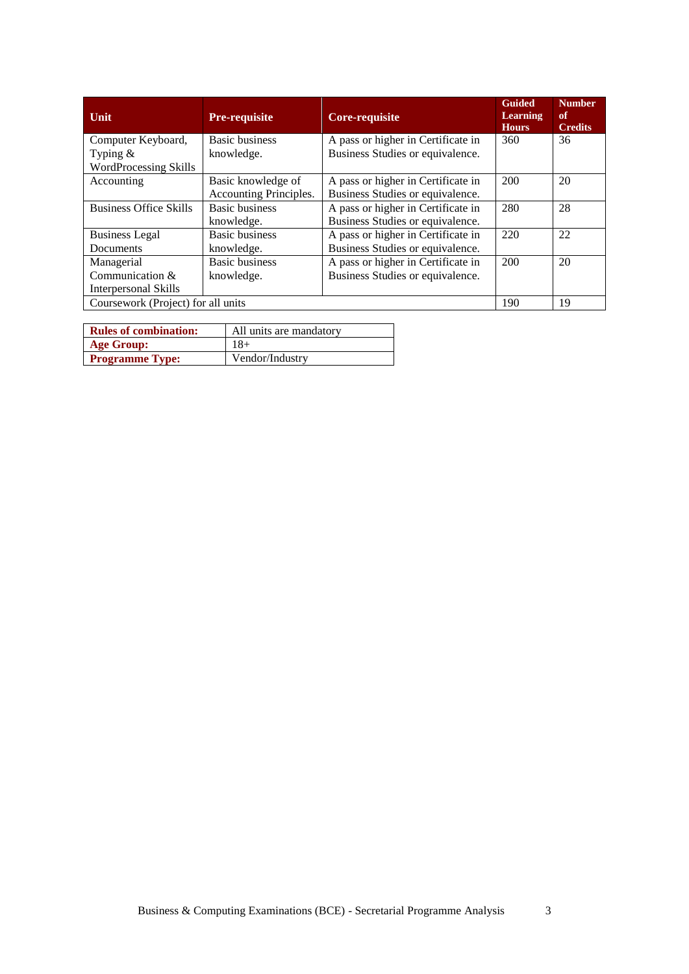| Unit                               | <b>Pre-requisite</b>   | <b>Core-requisite</b>              | <b>Guided</b><br><b>Learning</b><br><b>Hours</b> | <b>Number</b><br>of<br><b>Credits</b> |
|------------------------------------|------------------------|------------------------------------|--------------------------------------------------|---------------------------------------|
| Computer Keyboard,                 | <b>Basic business</b>  | A pass or higher in Certificate in | 360                                              | 36                                    |
| Typing $&$                         | knowledge.             | Business Studies or equivalence.   |                                                  |                                       |
| <b>WordProcessing Skills</b>       |                        |                                    |                                                  |                                       |
| Accounting                         | Basic knowledge of     | A pass or higher in Certificate in | 200                                              | 20                                    |
|                                    | Accounting Principles. | Business Studies or equivalence.   |                                                  |                                       |
| <b>Business Office Skills</b>      | <b>Basic business</b>  | A pass or higher in Certificate in | 280                                              | 28                                    |
|                                    | knowledge.             | Business Studies or equivalence.   |                                                  |                                       |
| <b>Business Legal</b>              | <b>Basic business</b>  | A pass or higher in Certificate in | 220                                              | 22                                    |
| Documents                          | knowledge.             | Business Studies or equivalence.   |                                                  |                                       |
| Managerial                         | <b>Basic business</b>  | A pass or higher in Certificate in | 200                                              | 20                                    |
| Communication $&$                  | knowledge.             | Business Studies or equivalence.   |                                                  |                                       |
| Interpersonal Skills               |                        |                                    |                                                  |                                       |
| Coursework (Project) for all units |                        |                                    | 190                                              | 19                                    |

| <b>Rules of combination:</b> | All units are mandatory |  |  |  |
|------------------------------|-------------------------|--|--|--|
| Age Group:                   | $18+$                   |  |  |  |
| <b>Programme Type:</b>       | Vendor/Industry         |  |  |  |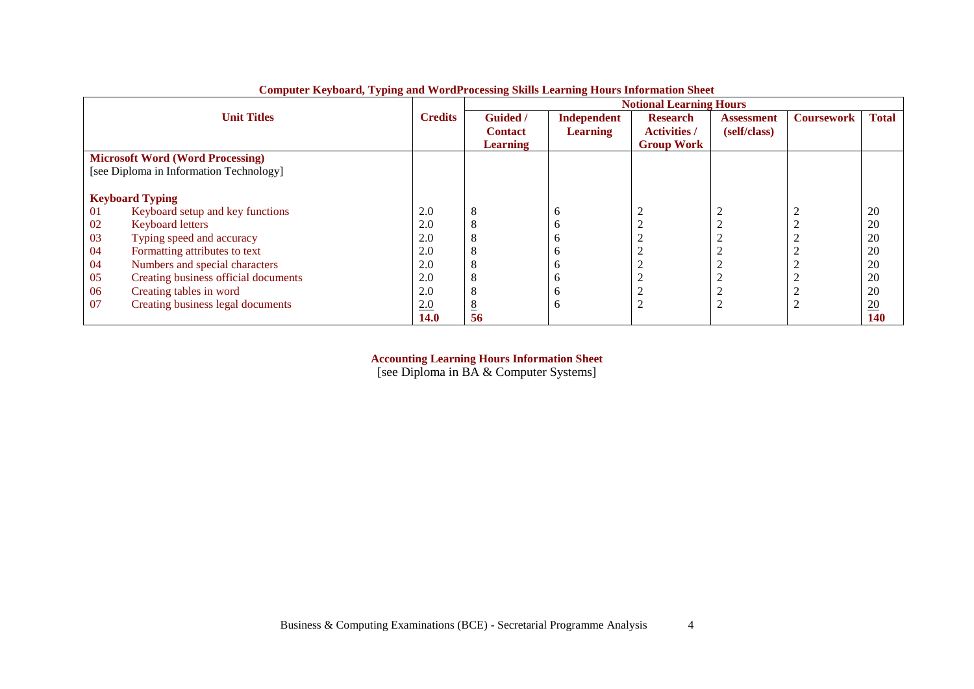|                                         | $\sim$                                  |                |                 |                    | <b>Notional Learning Hours</b> |                   |                   |                  |
|-----------------------------------------|-----------------------------------------|----------------|-----------------|--------------------|--------------------------------|-------------------|-------------------|------------------|
|                                         | <b>Unit Titles</b>                      | <b>Credits</b> | <b>Guided</b> / | <b>Independent</b> | <b>Research</b>                | <b>Assessment</b> | <b>Coursework</b> | <b>Total</b>     |
|                                         |                                         |                | <b>Contact</b>  | <b>Learning</b>    | <b>Activities /</b>            | (self/class)      |                   |                  |
|                                         |                                         |                | <b>Learning</b> |                    | <b>Group Work</b>              |                   |                   |                  |
| <b>Microsoft Word (Word Processing)</b> |                                         |                |                 |                    |                                |                   |                   |                  |
|                                         | [see Diploma in Information Technology] |                |                 |                    |                                |                   |                   |                  |
|                                         |                                         |                |                 |                    |                                |                   |                   |                  |
|                                         | <b>Keyboard Typing</b>                  |                |                 |                    |                                |                   |                   |                  |
| 01                                      | Keyboard setup and key functions        | 2.0            |                 | $\sigma$           | 2                              |                   |                   | 20               |
| 02                                      | <b>Keyboard letters</b>                 | 2.0            |                 | h                  | 2                              | ⌒                 |                   | 20               |
| 03                                      | Typing speed and accuracy               | 2.0            |                 |                    |                                |                   |                   | 20               |
| 04                                      | Formatting attributes to text           | 2.0            |                 | n                  | $\sim$                         | ⌒                 |                   | 20               |
| 04                                      | Numbers and special characters          | 2.0            |                 | n                  | ◠<br>∠                         | ◠                 |                   | 20               |
| 05                                      | Creating business official documents    | 2.0            |                 | n                  | ∠                              | ∠                 |                   | 20               |
| 06                                      | Creating tables in word                 | 2.0            |                 | n                  | $\sim$<br>∠                    | ⌒<br>∠            |                   | 20               |
| 07                                      | Creating business legal documents       | 2.0            |                 | h                  | $\overline{2}$                 | ⌒                 |                   | $\underline{20}$ |
|                                         |                                         | <b>14.0</b>    | 56              |                    |                                |                   |                   | 140              |

**Computer Keyboard, Typing and WordProcessing Skills Learning Hours Information Sheet**

**Accounting Learning Hours Information Sheet**

[see Diploma in BA & Computer Systems]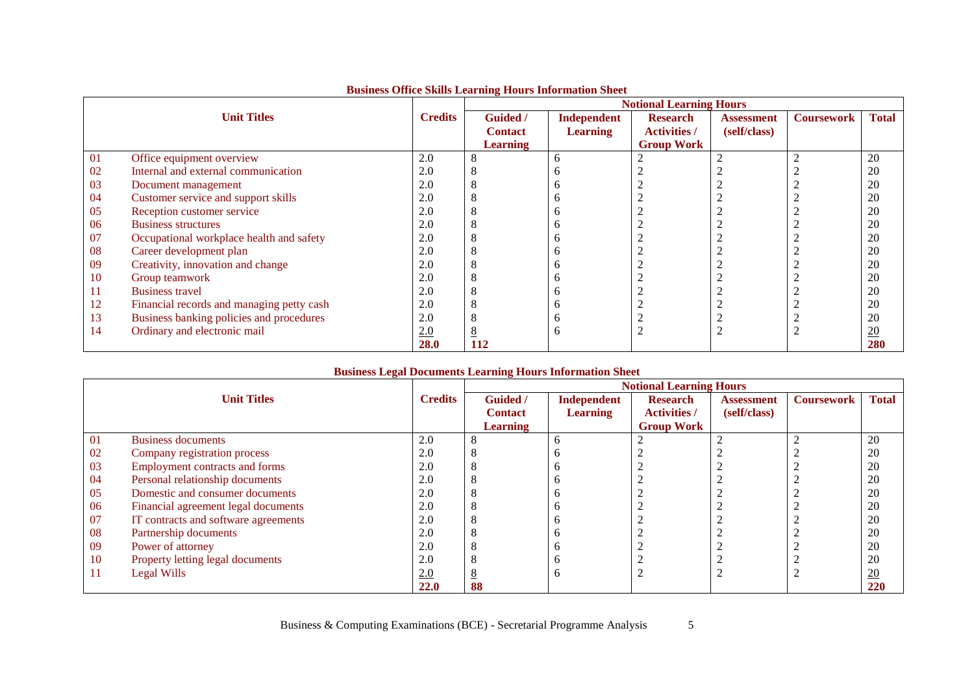|                    |                                           |                | <b>Notional Learning Hours</b> |                 |                     |                   |                   |                  |  |
|--------------------|-------------------------------------------|----------------|--------------------------------|-----------------|---------------------|-------------------|-------------------|------------------|--|
| <b>Unit Titles</b> |                                           | <b>Credits</b> | <b>Guided</b> /                | Independent     | <b>Research</b>     | <b>Assessment</b> | <b>Coursework</b> | <b>Total</b>     |  |
|                    |                                           |                | <b>Contact</b>                 | <b>Learning</b> | <b>Activities</b> / | (self/class)      |                   |                  |  |
|                    |                                           |                | <b>Learning</b>                |                 | <b>Group Work</b>   |                   |                   |                  |  |
| 01                 | Office equipment overview                 | 2.0            |                                | h               |                     |                   |                   | 20               |  |
| 02                 | Internal and external communication       | 2.0            |                                |                 |                     |                   |                   | 20               |  |
| 03                 | Document management                       | 2.0            |                                |                 |                     |                   |                   | 20               |  |
| 04                 | Customer service and support skills       | 2.0            |                                |                 |                     |                   |                   | 20               |  |
| 05                 | Reception customer service                | 2.0            |                                |                 |                     |                   |                   | 20               |  |
| 06                 | <b>Business structures</b>                | 2.0            |                                |                 |                     |                   |                   | 20               |  |
| 07                 | Occupational workplace health and safety  | 2.0            |                                |                 |                     |                   |                   | 20               |  |
| 08                 | Career development plan                   | 2.0            |                                |                 |                     |                   |                   | 20               |  |
| 09                 | Creativity, innovation and change         | 2.0            |                                |                 |                     |                   |                   | 20               |  |
| 10                 | Group teamwork                            | 2.0            |                                |                 |                     |                   |                   | 20               |  |
| 11                 | <b>Business travel</b>                    | 2.0            |                                |                 |                     |                   |                   | 20               |  |
| 12                 | Financial records and managing petty cash | 2.0            |                                |                 |                     |                   |                   | 20               |  |
| 13                 | Business banking policies and procedures  | 2.0            |                                | n               |                     |                   |                   | 20               |  |
| 14                 | Ordinary and electronic mail              | 2.0            |                                | h               |                     |                   |                   | $\underline{20}$ |  |
|                    |                                           | 28.0           | 112                            |                 |                     |                   |                   | 280              |  |

## **Business Office Skills Learning Hours Information Sheet**

### **Business Legal Documents Learning Hours Information Sheet**

|    |                                       |                | <b>Notional Learning Hours</b> |                 |                     |                   |                   |                 |  |
|----|---------------------------------------|----------------|--------------------------------|-----------------|---------------------|-------------------|-------------------|-----------------|--|
|    | <b>Unit Titles</b>                    | <b>Credits</b> | <b>Guided</b> /                | Independent     | <b>Research</b>     | <b>Assessment</b> | <b>Coursework</b> | <b>Total</b>    |  |
|    |                                       |                | <b>Contact</b>                 | <b>Learning</b> | <b>Activities</b> / | (self/class)      |                   |                 |  |
|    |                                       |                | <b>Learning</b>                |                 | <b>Group Work</b>   |                   |                   |                 |  |
| 01 | <b>Business documents</b>             | 2.0            | Λ                              |                 |                     |                   |                   | 20              |  |
| 02 | Company registration process          | 2.0            |                                |                 |                     |                   |                   | 20              |  |
| 03 | <b>Employment contracts and forms</b> | 2.0            | Ω                              |                 |                     |                   |                   | 20              |  |
| 04 | Personal relationship documents       | 2.0            |                                |                 |                     |                   |                   | 20              |  |
| 05 | Domestic and consumer documents       | 2.0            |                                |                 |                     |                   |                   | 20              |  |
| 06 | Financial agreement legal documents   | 2.0            |                                |                 |                     |                   |                   | 20              |  |
| 07 | IT contracts and software agreements  | 2.0            |                                |                 |                     |                   |                   | 20              |  |
| 08 | Partnership documents                 | 2.0            |                                |                 |                     |                   |                   | 20              |  |
| 09 | Power of attorney                     | 2.0            | Λ                              |                 |                     |                   |                   | 20              |  |
| 10 | Property letting legal documents      | 2.0            |                                |                 |                     |                   |                   | 20              |  |
| 11 | Legal Wills                           | 2.0            |                                |                 |                     |                   |                   | $\overline{20}$ |  |
|    |                                       | <b>22.0</b>    | 88                             |                 |                     |                   |                   | 220             |  |